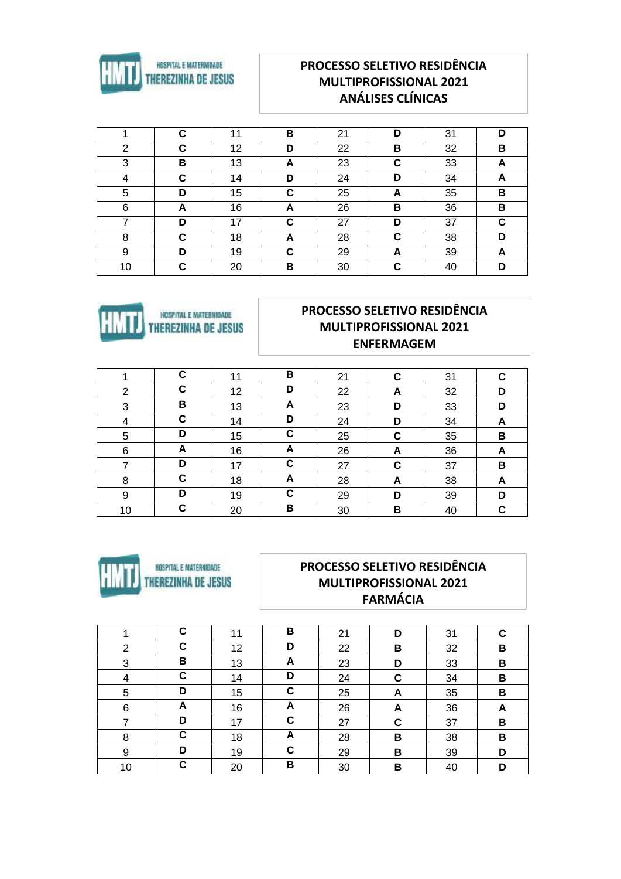

# **PROCESSO SELETIVO RESIDÊNCIA MULTIPROFISSIONAL 2021 ANÁLISES CLÍNICAS**

|    | C | 11 | B | 21 | D | 31 | D |
|----|---|----|---|----|---|----|---|
| 2  | C | 12 | D | 22 | в | 32 | в |
| 3  | В | 13 | A | 23 | C | 33 | A |
| 4  | C | 14 | D | 24 | D | 34 | A |
| 5  | D | 15 | C | 25 | A | 35 | В |
| 6  | A | 16 | A | 26 | в | 36 | В |
|    | D | 17 | C | 27 | D | 37 | C |
| 8  | С | 18 | A | 28 | C | 38 | D |
| 9  | D | 19 | C | 29 | A | 39 | А |
| 10 | C | 20 | В | 30 | C | 40 | D |



# **PROCESSO SELETIVO RESIDÊNCIA MULTIPROFISSIONAL 2021 ENFERMAGEM**

|    | C | 11 | В | 21 | C | 31 | C |
|----|---|----|---|----|---|----|---|
| 2  | C | 12 | D | 22 | A | 32 | D |
| 3  | В | 13 | A | 23 | D | 33 | D |
| 4  | C | 14 | D | 24 | D | 34 | A |
| 5  | D | 15 | C | 25 | C | 35 | B |
| 6  | A | 16 | A | 26 | A | 36 | A |
|    | D | 17 | С | 27 | C | 37 | В |
| 8  | C | 18 | A | 28 | A | 38 | A |
| 9  | D | 19 | C | 29 | D | 39 | D |
| 10 | С | 20 | В | 30 | B | 40 | C |



### PROCESSO SELETIVO RESIDÊNCIA **MULTIPROFISSIONAL 2021 FARMÁCIA**

|                | C | 11 | B | 21 | D | 31 | С |
|----------------|---|----|---|----|---|----|---|
| 2              | С | 12 | D | 22 | В | 32 | В |
| 3              | В | 13 | A | 23 | D | 33 | В |
| $\overline{4}$ | C | 14 | D | 24 | C | 34 | В |
| 5              | D | 15 | C | 25 | A | 35 | B |
| 6              | A | 16 | A | 26 | A | 36 | A |
|                | D | 17 | C | 27 | C | 37 | В |
| 8              | C | 18 | A | 28 | В | 38 | В |
| 9              | D | 19 | C | 29 | в | 39 | D |
| 10             | C | 20 | В | 30 | В | 40 | D |